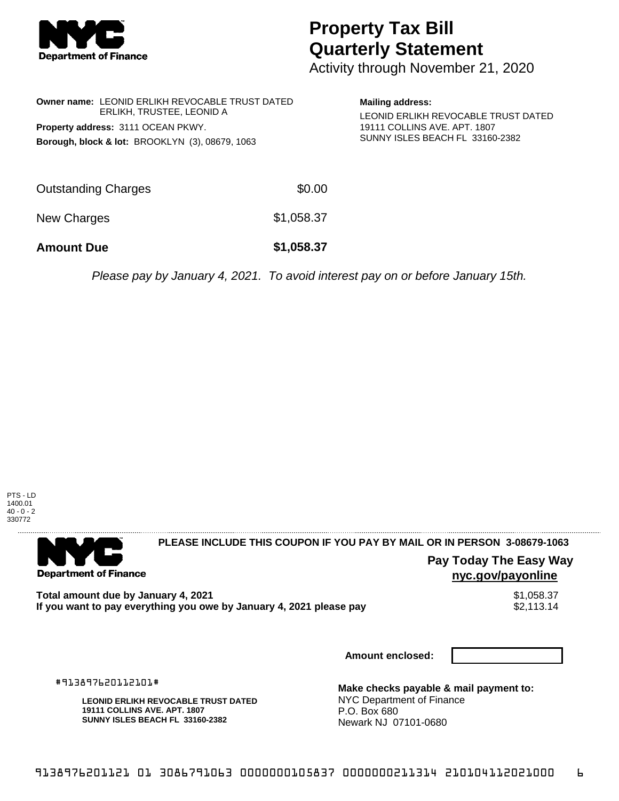

## **Property Tax Bill Quarterly Statement**

Activity through November 21, 2020

| <b>Owner name: LEONID ERLIKH REVOCABLE TRUST DATED</b><br>ERLIKH, TRUSTEE, LEONID A |            | <b>Mailing address:</b><br>LEONID ERLIKH REVOCABLE TRUST DATED |
|-------------------------------------------------------------------------------------|------------|----------------------------------------------------------------|
| Property address: 3111 OCEAN PKWY.                                                  |            | 19111 COLLINS AVE, APT, 1807                                   |
| <b>Borough, block &amp; lot: BROOKLYN (3), 08679, 1063</b>                          |            | SUNNY ISLES BEACH FL 33160-2382                                |
|                                                                                     |            |                                                                |
| <b>Outstanding Charges</b>                                                          | \$0.00     |                                                                |
| New Charges                                                                         | \$1,058.37 |                                                                |
| <b>Amount Due</b>                                                                   | \$1,058.37 |                                                                |
|                                                                                     |            |                                                                |

Please pay by January 4, 2021. To avoid interest pay on or before January 15th.



. . . . . . . . . . . . . . . . .

## **PLEASE INCLUDE THIS COUPON IF YOU PAY BY MAIL OR IN PERSON 3-08679-1063**

**Pay Today The Easy Way nyc.gov/payonline**

**Total amount due by January 4, 2021**<br>If you want to pay everything you owe by January 4, 2021 please pay **show that the set of the set of the set of** If you want to pay everything you owe by January 4, 2021 please pay

**Amount enclosed:**

#913897620112101#

**Department of Finance** 

**LEONID ERLIKH REVOCABLE TRUST DATED 19111 COLLINS AVE. APT. 1807 SUNNY ISLES BEACH FL 33160-2382**

**Make checks payable & mail payment to:** NYC Department of Finance P.O. Box 680 Newark NJ 07101-0680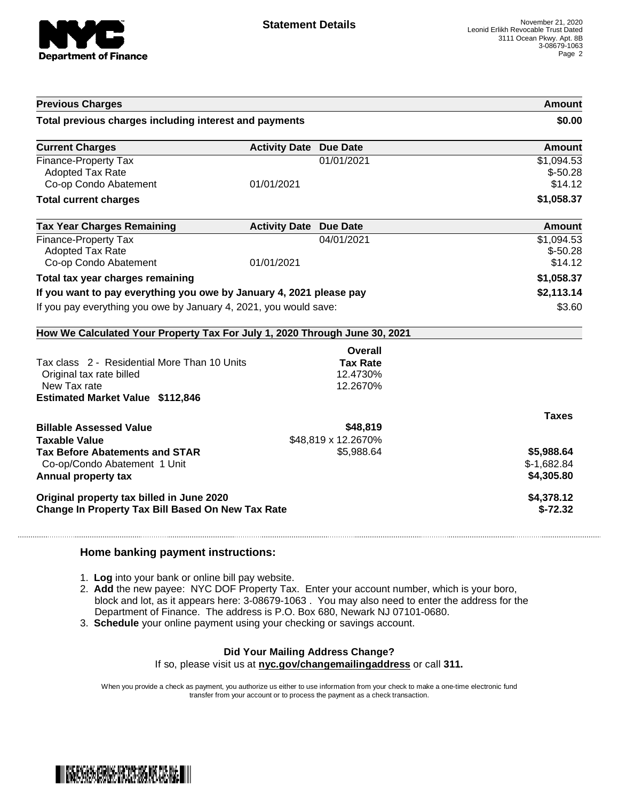

| <b>Previous Charges</b><br>Total previous charges including interest and payments                                                   |                               |                                         | Amount<br>\$0.00                         |
|-------------------------------------------------------------------------------------------------------------------------------------|-------------------------------|-----------------------------------------|------------------------------------------|
|                                                                                                                                     |                               |                                         |                                          |
| <b>Finance-Property Tax</b><br>Adopted Tax Rate<br>Co-op Condo Abatement                                                            | 01/01/2021                    | 01/01/2021                              | \$1,094.53<br>$$-50.28$<br>\$14.12       |
| <b>Total current charges</b>                                                                                                        |                               |                                         | \$1,058.37                               |
| <b>Tax Year Charges Remaining</b>                                                                                                   | <b>Activity Date Due Date</b> |                                         | Amount                                   |
| <b>Finance-Property Tax</b><br><b>Adopted Tax Rate</b><br>Co-op Condo Abatement                                                     | 01/01/2021                    | 04/01/2021                              | \$1,094.53<br>$$-50.28$<br>\$14.12       |
| Total tax year charges remaining                                                                                                    |                               |                                         | \$1,058.37                               |
| If you want to pay everything you owe by January 4, 2021 please pay                                                                 | \$2,113.14                    |                                         |                                          |
| If you pay everything you owe by January 4, 2021, you would save:                                                                   | \$3.60                        |                                         |                                          |
| How We Calculated Your Property Tax For July 1, 2020 Through June 30, 2021                                                          |                               |                                         |                                          |
|                                                                                                                                     |                               | Overall                                 |                                          |
| Tax class 2 - Residential More Than 10 Units<br>Original tax rate billed<br>New Tax rate<br><b>Estimated Market Value \$112,846</b> |                               | <b>Tax Rate</b><br>12.4730%<br>12.2670% |                                          |
|                                                                                                                                     |                               |                                         | <b>Taxes</b>                             |
| <b>Billable Assessed Value</b><br><b>Taxable Value</b>                                                                              |                               | \$48,819<br>\$48,819 x 12.2670%         |                                          |
| <b>Tax Before Abatements and STAR</b><br>Co-op/Condo Abatement 1 Unit<br>Annual property tax                                        |                               | \$5,988.64                              | \$5,988.64<br>$$-1,682.84$<br>\$4,305.80 |
| Original property tax billed in June 2020<br>Change In Property Tax Bill Based On New Tax Rate                                      | \$4,378.12<br>$$-72.32$       |                                         |                                          |

## **Home banking payment instructions:**

- 1. **Log** into your bank or online bill pay website.
- 2. **Add** the new payee: NYC DOF Property Tax. Enter your account number, which is your boro, block and lot, as it appears here: 3-08679-1063 . You may also need to enter the address for the Department of Finance. The address is P.O. Box 680, Newark NJ 07101-0680.
- 3. **Schedule** your online payment using your checking or savings account.

## **Did Your Mailing Address Change?**

If so, please visit us at **nyc.gov/changemailingaddress** or call **311.**

When you provide a check as payment, you authorize us either to use information from your check to make a one-time electronic fund transfer from your account or to process the payment as a check transaction.